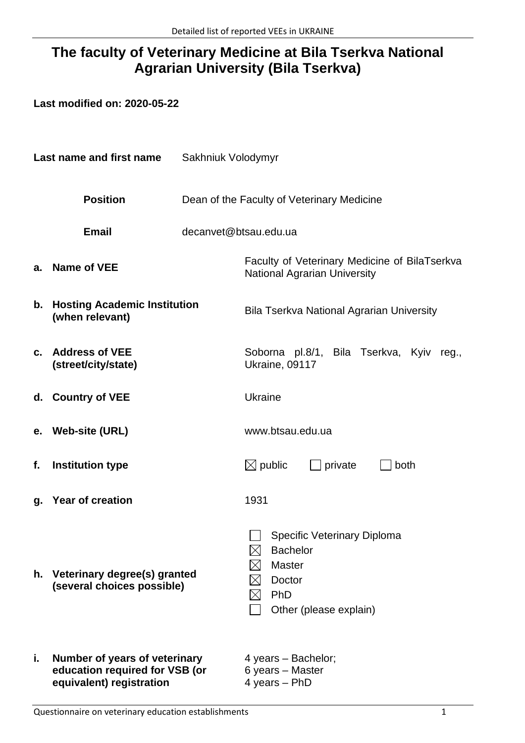## **The faculty of Veterinary Medicine at Bila Tserkva National Agrarian University (Bila Tserkva)**

| Last name and first name |                                                                                             | Sakhniuk Volodymyr                         |                                                                                                            |  |
|--------------------------|---------------------------------------------------------------------------------------------|--------------------------------------------|------------------------------------------------------------------------------------------------------------|--|
|                          | <b>Position</b>                                                                             | Dean of the Faculty of Veterinary Medicine |                                                                                                            |  |
|                          | <b>Email</b>                                                                                | decanvet@btsau.edu.ua                      |                                                                                                            |  |
| a.                       | <b>Name of VEE</b>                                                                          |                                            | Faculty of Veterinary Medicine of BilaTserkva<br><b>National Agrarian University</b>                       |  |
| b.                       | <b>Hosting Academic Institution</b><br>(when relevant)                                      |                                            | <b>Bila Tserkva National Agrarian University</b>                                                           |  |
| C.                       | <b>Address of VEE</b><br>(street/city/state)                                                |                                            | Soborna pl.8/1, Bila Tserkva, Kyiv<br>reg.,<br>Ukraine, 09117                                              |  |
|                          | d. Country of VEE                                                                           |                                            | <b>Ukraine</b>                                                                                             |  |
|                          | e. Web-site (URL)                                                                           |                                            | www.btsau.edu.ua                                                                                           |  |
| f.                       | <b>Institution type</b>                                                                     |                                            | $\boxtimes$ public<br>private<br>both                                                                      |  |
| g.                       | <b>Year of creation</b>                                                                     |                                            | 1931                                                                                                       |  |
|                          | h. Veterinary degree(s) granted<br>(several choices possible)                               |                                            | Specific Veterinary Diploma<br><b>Bachelor</b><br><b>Master</b><br>Doctor<br>PhD<br>Other (please explain) |  |
| i.                       | Number of years of veterinary<br>education required for VSB (or<br>equivalent) registration |                                            | 4 years - Bachelor;<br>6 years – Master<br>4 years - PhD                                                   |  |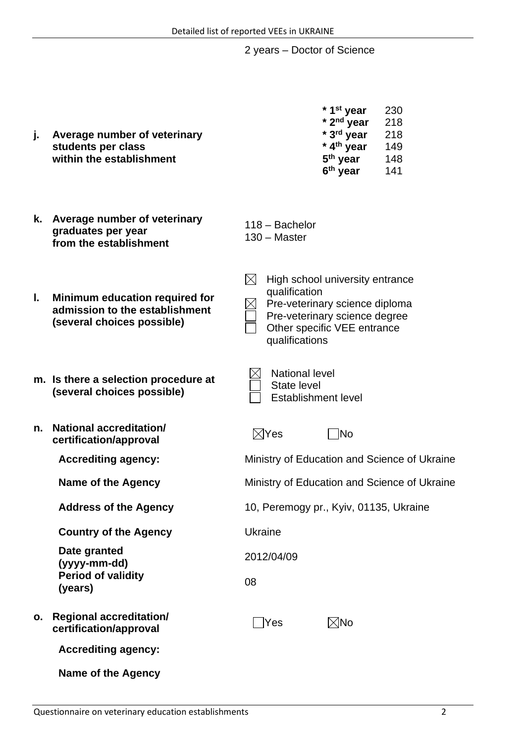2 years – Doctor of Science

**\* 1st year** 230

|    |                              | * 2 <sup>nd</sup> year | 218 |
|----|------------------------------|------------------------|-----|
| ı. | Average number of veterinary | * 3 <sup>rd</sup> year | 218 |
|    | students per class           | * 4 <sup>th</sup> year | 149 |
|    | within the establishment     | 5 <sup>th</sup> year   | 148 |
|    |                              | 6 <sup>th</sup> year   | 141 |
|    |                              |                        |     |
| k  | Average number of veterinary |                        |     |

- **k. Average number of veterinary graduates per year from the establishment**
- **l. Minimum education required for admission to the establishment (several choices possible)**
- **m. Is there a selection procedure at (several choices possible)**
- **n. National accreditation/** certification/approval

**Accrediting agency:** 

**Name of the Agency** 

**Address of the Agency** 

**Country of the Agency** 

**Date granted (yyyy-mm-dd)** 2012/04/09 **Period of validity** (years)

**o. Regional accreditation/ certification/approval** Yes No

**Accrediting agency:**

**Name of the Agency**

| 118 - Bachelor<br>130 - Master                                                                                                                                       |  |  |  |  |  |  |
|----------------------------------------------------------------------------------------------------------------------------------------------------------------------|--|--|--|--|--|--|
| High school university entrance<br>qualification<br>Pre-veterinary science diploma<br>Pre-veterinary science degree<br>Other specific VEE entrance<br>qualifications |  |  |  |  |  |  |
| <b>National level</b><br><b>State level</b><br><b>Establishment level</b>                                                                                            |  |  |  |  |  |  |
| $\boxtimes$ Yes<br> No                                                                                                                                               |  |  |  |  |  |  |
| Ministry of Education and Science of Ukraine                                                                                                                         |  |  |  |  |  |  |
| Ministry of Education and Science of Ukraine                                                                                                                         |  |  |  |  |  |  |
| 10, Peremogy pr., Kyiv, 01135, Ukraine                                                                                                                               |  |  |  |  |  |  |
| <b>Ukraine</b>                                                                                                                                                       |  |  |  |  |  |  |
| 2012/04/09                                                                                                                                                           |  |  |  |  |  |  |
| 08                                                                                                                                                                   |  |  |  |  |  |  |
| ៶╱៲៱៲៹<br>$N_{\rm{max}}$                                                                                                                                             |  |  |  |  |  |  |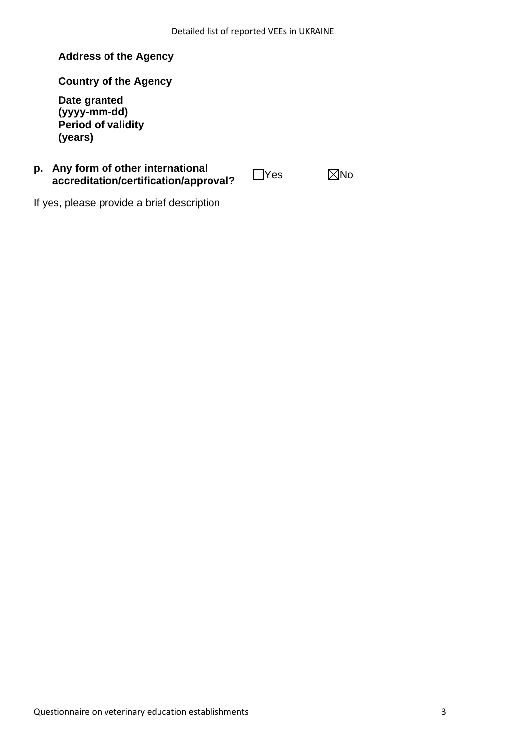**Country of the Agency**

**Date granted (yyyy-mm-dd) Period of validity (years)**

#### **p. Any form of other international accreditation/certification/approval?** DYes Mo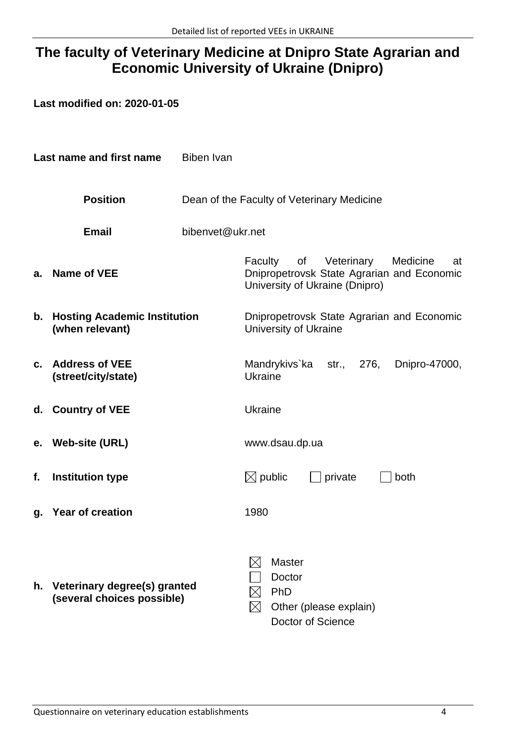### **The faculty of Veterinary Medicine at Dnipro State Agrarian and Economic University of Ukraine (Dnipro)**

| Last name and first name |                                                            | <b>Biben Ivan</b>                          |                                                                                                                               |  |  |
|--------------------------|------------------------------------------------------------|--------------------------------------------|-------------------------------------------------------------------------------------------------------------------------------|--|--|
|                          | <b>Position</b>                                            | Dean of the Faculty of Veterinary Medicine |                                                                                                                               |  |  |
|                          | <b>Email</b>                                               | bibenvet@ukr.net                           |                                                                                                                               |  |  |
| а.                       | <b>Name of VEE</b>                                         |                                            | Veterinary<br>Medicine<br>Faculty<br>of<br>at<br>Dnipropetrovsk State Agrarian and Economic<br>University of Ukraine (Dnipro) |  |  |
| b.                       | <b>Hosting Academic Institution</b><br>(when relevant)     |                                            | Dnipropetrovsk State Agrarian and Economic<br>University of Ukraine                                                           |  |  |
| $\mathbf{c}$ .           | <b>Address of VEE</b><br>(street/city/state)               |                                            | Mandrykivs`ka<br>Dnipro-47000,<br>str., 276,<br>Ukraine                                                                       |  |  |
|                          | d. Country of VEE                                          |                                            | Ukraine                                                                                                                       |  |  |
|                          | e. Web-site (URL)                                          |                                            | www.dsau.dp.ua                                                                                                                |  |  |
| f.                       | <b>Institution type</b>                                    |                                            | $\boxtimes$ public<br>private<br>both                                                                                         |  |  |
| g.                       | <b>Year of creation</b>                                    |                                            | 1980                                                                                                                          |  |  |
| h.                       | Veterinary degree(s) granted<br>(several choices possible) |                                            | <b>Master</b><br>Doctor<br>PhD<br>$\times$<br>Other (please explain)<br>Doctor of Science                                     |  |  |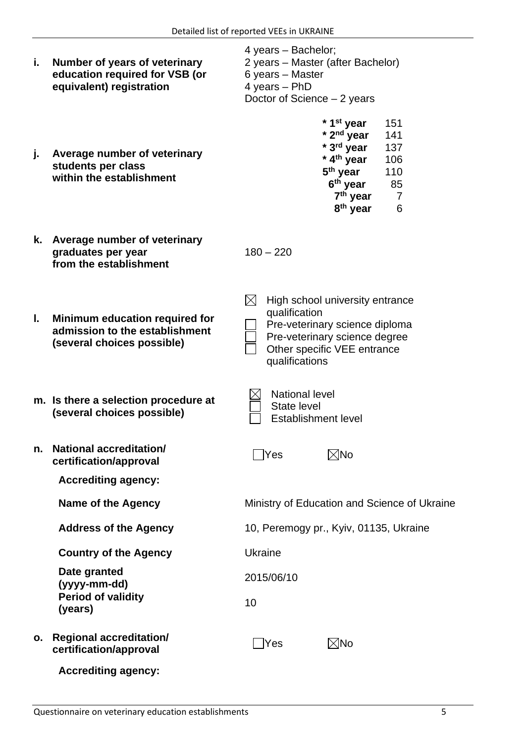| i. | Number of years of veterinary<br>education required for VSB (or<br>equivalent) registration    | 4 years – Bachelor;<br>2 years - Master (after Bachelor)<br>6 years - Master<br>4 years - PhD<br>Doctor of Science - 2 years                                                                                                                |
|----|------------------------------------------------------------------------------------------------|---------------------------------------------------------------------------------------------------------------------------------------------------------------------------------------------------------------------------------------------|
| j. | Average number of veterinary<br>students per class<br>within the establishment                 | * 1 <sup>st</sup> year<br>151<br>* 2 <sup>nd</sup> year<br>141<br>* 3rd year<br>137<br>* 4 <sup>th</sup> year<br>106<br>5 <sup>th</sup> year<br>110<br>6 <sup>th</sup> year<br>85<br>7 <sup>th</sup> year<br>7<br>8 <sup>th</sup> year<br>6 |
| k. | Average number of veterinary<br>graduates per year<br>from the establishment                   | $180 - 220$                                                                                                                                                                                                                                 |
| L. | Minimum education required for<br>admission to the establishment<br>(several choices possible) | $\boxtimes$<br>High school university entrance<br>qualification<br>Pre-veterinary science diploma<br>Pre-veterinary science degree<br>Other specific VEE entrance<br>qualifications                                                         |
|    | m. Is there a selection procedure at<br>(several choices possible)                             | <b>National level</b><br><b>State level</b><br><b>Establishment level</b>                                                                                                                                                                   |
| n. | National accreditation/<br>certification/approval<br><b>Accrediting agency:</b>                | $\boxtimes$ No<br> Yes                                                                                                                                                                                                                      |
|    | Name of the Agency                                                                             | Ministry of Education and Science of Ukraine                                                                                                                                                                                                |
|    | <b>Address of the Agency</b>                                                                   | 10, Peremogy pr., Kyiv, 01135, Ukraine                                                                                                                                                                                                      |
|    | <b>Country of the Agency</b>                                                                   | <b>Ukraine</b>                                                                                                                                                                                                                              |
|    | Date granted                                                                                   | 2015/06/10                                                                                                                                                                                                                                  |
|    | (yyyy-mm-dd)<br><b>Period of validity</b><br>(years)                                           | 10                                                                                                                                                                                                                                          |
| о. | <b>Regional accreditation/</b><br>certification/approval                                       | $\boxtimes$ No<br>Yes                                                                                                                                                                                                                       |
|    | <b>Accrediting agency:</b>                                                                     |                                                                                                                                                                                                                                             |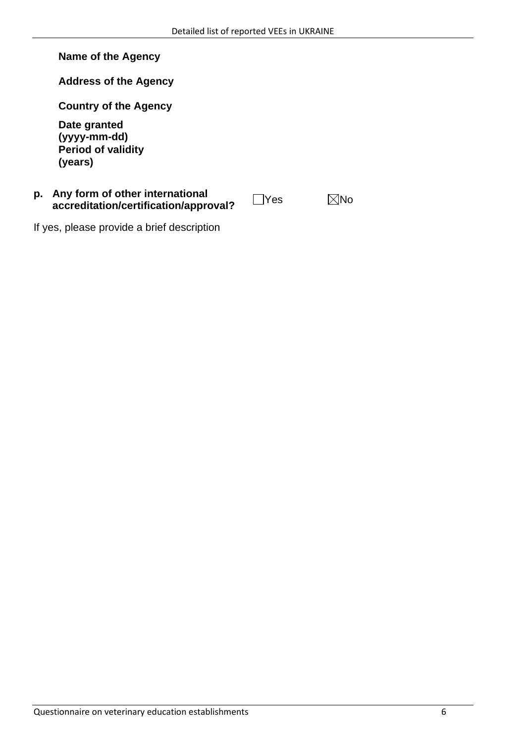**Name of the Agency**

**Address of the Agency**

**Country of the Agency**

**Date granted (yyyy-mm-dd) Period of validity (years)**

#### **p. Any form of other international any form of other international discreption of Solid Approval?** DYes Mo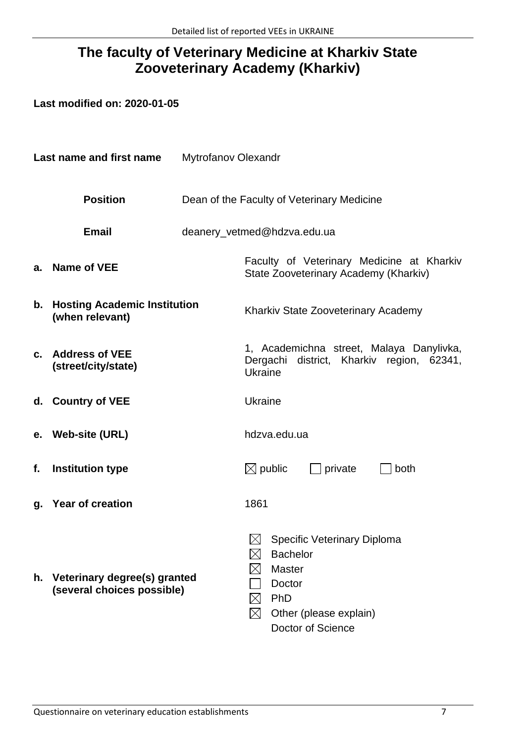## **The faculty of Veterinary Medicine at Kharkiv State Zooveterinary Academy (Kharkiv)**

| Last name and first name |                                                            | Mytrofanov Olexandr                        |                                                                                                                                                |  |
|--------------------------|------------------------------------------------------------|--------------------------------------------|------------------------------------------------------------------------------------------------------------------------------------------------|--|
|                          | <b>Position</b>                                            | Dean of the Faculty of Veterinary Medicine |                                                                                                                                                |  |
|                          | <b>Email</b>                                               |                                            | deanery_vetmed@hdzva.edu.ua                                                                                                                    |  |
| а.                       | <b>Name of VEE</b>                                         |                                            | Faculty of Veterinary Medicine at Kharkiv<br>State Zooveterinary Academy (Kharkiv)                                                             |  |
| b.                       | <b>Hosting Academic Institution</b><br>(when relevant)     |                                            | Kharkiv State Zooveterinary Academy                                                                                                            |  |
| $\mathbf{c}$ .           | <b>Address of VEE</b><br>(street/city/state)               |                                            | 1, Academichna street, Malaya Danylivka,<br>district, Kharkiv region, 62341,<br>Dergachi<br><b>Ukraine</b>                                     |  |
|                          | d. Country of VEE                                          |                                            | <b>Ukraine</b>                                                                                                                                 |  |
|                          | e. Web-site (URL)                                          |                                            | hdzva.edu.ua                                                                                                                                   |  |
| f.                       | <b>Institution type</b>                                    |                                            | $\boxtimes$ public<br>private<br>both                                                                                                          |  |
| g.                       | <b>Year of creation</b>                                    |                                            | 1861                                                                                                                                           |  |
| h.                       | Veterinary degree(s) granted<br>(several choices possible) |                                            | $\boxtimes$<br>Specific Veterinary Diploma<br><b>Bachelor</b><br><b>Master</b><br>Doctor<br>PhD<br>Other (please explain)<br>Doctor of Science |  |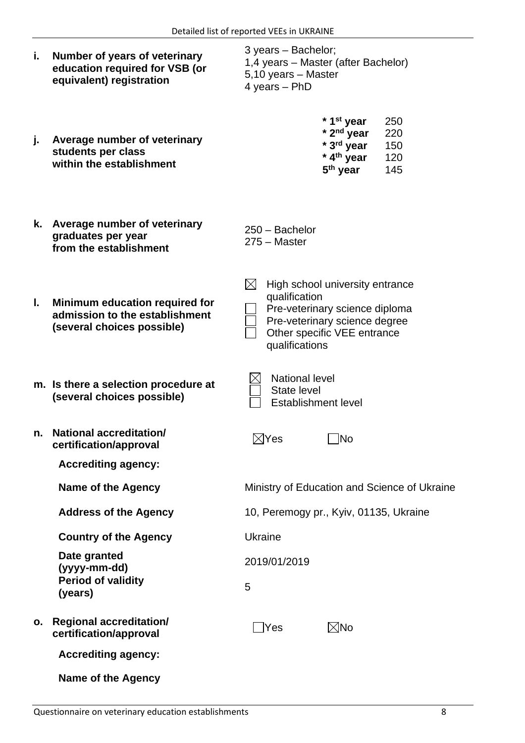| i. | Number of years of veterinary<br>education required for VSB (or<br>equivalent) registration           | 3 years - Bachelor;<br>1,4 years – Master (after Bachelor)<br>5,10 years - Master<br>4 years - PhD |                                                                                                                                   |                                              |
|----|-------------------------------------------------------------------------------------------------------|----------------------------------------------------------------------------------------------------|-----------------------------------------------------------------------------------------------------------------------------------|----------------------------------------------|
| j. | Average number of veterinary<br>students per class<br>within the establishment                        |                                                                                                    | * 1 <sup>st</sup> year<br>* 2 <sup>nd</sup> year<br>* 3 <sup>rd</sup> year<br>* 4 <sup>th</sup> year<br>5 <sup>th</sup> year      | 250<br>220<br>150<br>120<br>145              |
| k. | Average number of veterinary<br>graduates per year<br>from the establishment                          | 250 - Bachelor<br>$275 - Master$                                                                   |                                                                                                                                   |                                              |
| L. | <b>Minimum education required for</b><br>admission to the establishment<br>(several choices possible) | $\boxtimes$<br>qualification<br>qualifications                                                     | High school university entrance<br>Pre-veterinary science diploma<br>Pre-veterinary science degree<br>Other specific VEE entrance |                                              |
|    | m. Is there a selection procedure at<br>(several choices possible)                                    | <b>National level</b><br>State level                                                               | <b>Establishment level</b>                                                                                                        |                                              |
| n. | <b>National accreditation/</b><br>certification/approval                                              | $\boxtimes$ Yes                                                                                    | $\bigsqcup$ No                                                                                                                    |                                              |
|    | <b>Accrediting agency:</b>                                                                            |                                                                                                    |                                                                                                                                   |                                              |
|    | <b>Name of the Agency</b>                                                                             |                                                                                                    |                                                                                                                                   | Ministry of Education and Science of Ukraine |
|    | <b>Address of the Agency</b>                                                                          | 10, Peremogy pr., Kyiv, 01135, Ukraine                                                             |                                                                                                                                   |                                              |
|    | <b>Country of the Agency</b>                                                                          | <b>Ukraine</b>                                                                                     |                                                                                                                                   |                                              |
|    | Date granted<br>(yyyy-mm-dd)                                                                          | 2019/01/2019                                                                                       |                                                                                                                                   |                                              |
|    | <b>Period of validity</b><br>(years)                                                                  | 5                                                                                                  |                                                                                                                                   |                                              |
| о. | <b>Regional accreditation/</b><br>certification/approval                                              | Yes                                                                                                | $\boxtimes$ No                                                                                                                    |                                              |
|    | <b>Accrediting agency:</b>                                                                            |                                                                                                    |                                                                                                                                   |                                              |
|    | <b>Name of the Agency</b>                                                                             |                                                                                                    |                                                                                                                                   |                                              |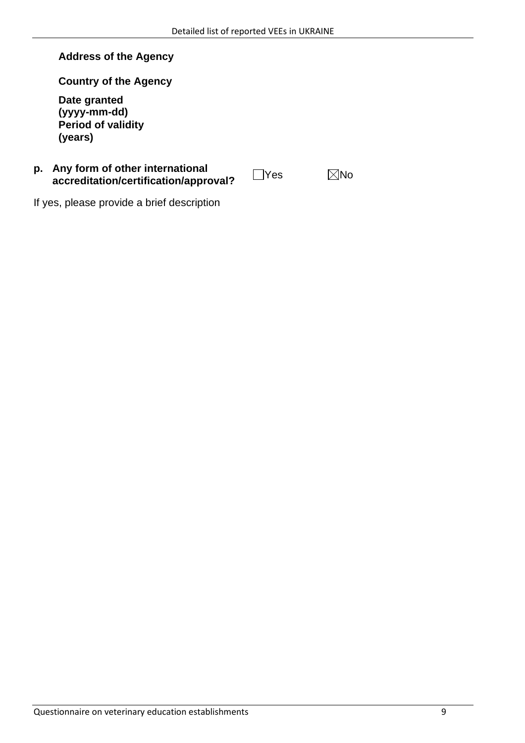**Country of the Agency**

**Date granted (yyyy-mm-dd) Period of validity (years)**

**p. Any form of other international accreditation/certification/approval?** DYes Mo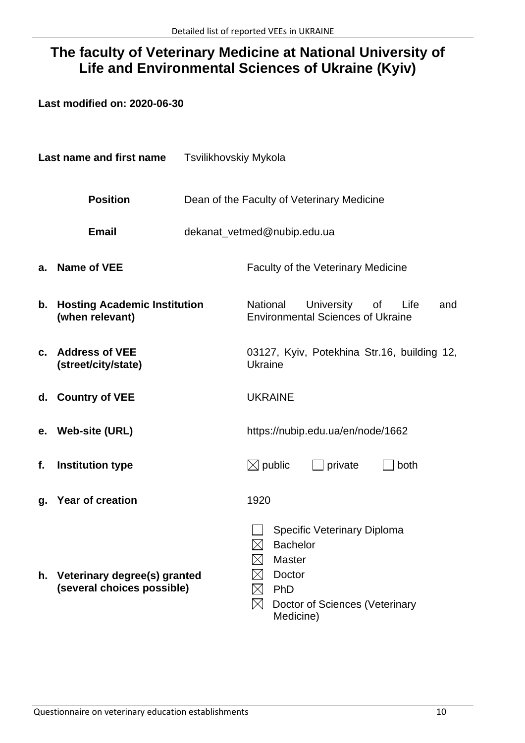## **The faculty of Veterinary Medicine at National University of Life and Environmental Sciences of Ukraine (Kyiv)**

| Last name and first name |                                                            | Tsvilikhovskiy Mykola                      |                                                                     |                                                                |                                                                      |    |      |     |
|--------------------------|------------------------------------------------------------|--------------------------------------------|---------------------------------------------------------------------|----------------------------------------------------------------|----------------------------------------------------------------------|----|------|-----|
|                          | <b>Position</b><br><b>Email</b>                            | Dean of the Faculty of Veterinary Medicine |                                                                     |                                                                |                                                                      |    |      |     |
|                          |                                                            | dekanat_vetmed@nubip.edu.ua                |                                                                     |                                                                |                                                                      |    |      |     |
| а.                       | <b>Name of VEE</b>                                         |                                            | <b>Faculty of the Veterinary Medicine</b>                           |                                                                |                                                                      |    |      |     |
| b.                       | <b>Hosting Academic Institution</b><br>(when relevant)     |                                            | National                                                            |                                                                | University<br><b>Environmental Sciences of Ukraine</b>               | of | Life | and |
| C.                       | <b>Address of VEE</b><br>(street/city/state)               |                                            | <b>Ukraine</b>                                                      |                                                                | 03127, Kyiv, Potekhina Str.16, building 12,                          |    |      |     |
|                          | d. Country of VEE                                          |                                            | <b>UKRAINE</b>                                                      |                                                                |                                                                      |    |      |     |
|                          | e. Web-site (URL)                                          |                                            |                                                                     |                                                                | https://nubip.edu.ua/en/node/1662                                    |    |      |     |
| f.                       | <b>Institution type</b>                                    |                                            | $\boxtimes$ public                                                  |                                                                | private                                                              |    | both |     |
| g.                       | <b>Year of creation</b>                                    |                                            | 1920                                                                |                                                                |                                                                      |    |      |     |
| h.                       | Veterinary degree(s) granted<br>(several choices possible) |                                            | $\boxtimes$<br>$\boxtimes$<br>$\times$ l<br>$\times$<br>$\boxtimes$ | <b>Bachelor</b><br><b>Master</b><br>Doctor<br>PhD<br>Medicine) | <b>Specific Veterinary Diploma</b><br>Doctor of Sciences (Veterinary |    |      |     |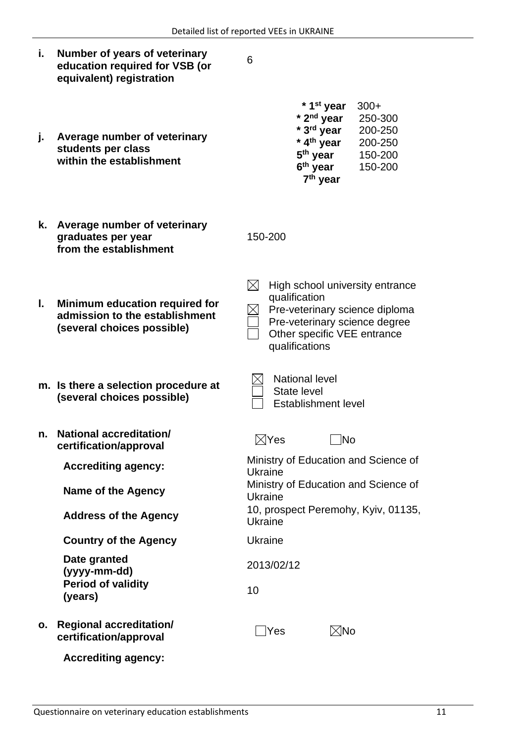| i. | Number of years of veterinary<br>education required for VSB (or<br>equivalent) registration    | 6                                                                                                                                                                                                                                             |
|----|------------------------------------------------------------------------------------------------|-----------------------------------------------------------------------------------------------------------------------------------------------------------------------------------------------------------------------------------------------|
| j. | Average number of veterinary<br>students per class<br>within the establishment                 | * 1 <sup>st</sup> year<br>$300+$<br>* 2 <sup>nd</sup> year<br>250-300<br>* 3 <sup>rd</sup> year<br>200-250<br>* 4 <sup>th</sup> year<br>200-250<br>5 <sup>th</sup> year<br>150-200<br>6 <sup>th</sup> year<br>150-200<br>7 <sup>th</sup> year |
| k. | Average number of veterinary<br>graduates per year<br>from the establishment                   | 150-200                                                                                                                                                                                                                                       |
| L. | Minimum education required for<br>admission to the establishment<br>(several choices possible) | $\boxtimes$<br>High school university entrance<br>qualification<br>Pre-veterinary science diploma<br>Pre-veterinary science degree<br>Other specific VEE entrance<br>qualifications                                                           |
|    | m. Is there a selection procedure at<br>(several choices possible)                             | <b>National level</b><br>State level<br><b>Establishment level</b>                                                                                                                                                                            |
| n. | <b>National accreditation/</b><br>certification/approval                                       | $\boxtimes$ Yes<br> No                                                                                                                                                                                                                        |
|    | <b>Accrediting agency:</b>                                                                     | Ministry of Education and Science of<br>Ukraine                                                                                                                                                                                               |
|    | Name of the Agency                                                                             | Ministry of Education and Science of<br><b>Ukraine</b>                                                                                                                                                                                        |
|    | <b>Address of the Agency</b>                                                                   | 10, prospect Peremohy, Kyiv, 01135,<br>Ukraine                                                                                                                                                                                                |
|    | <b>Country of the Agency</b>                                                                   | <b>Ukraine</b>                                                                                                                                                                                                                                |
|    | Date granted<br>(yyyy-mm-dd)                                                                   | 2013/02/12                                                                                                                                                                                                                                    |
|    | <b>Period of validity</b><br>(years)                                                           | 10                                                                                                                                                                                                                                            |
| О. | <b>Regional accreditation/</b><br>certification/approval                                       | $\boxtimes$ No<br>Yes                                                                                                                                                                                                                         |
|    | <b>Accrediting agency:</b>                                                                     |                                                                                                                                                                                                                                               |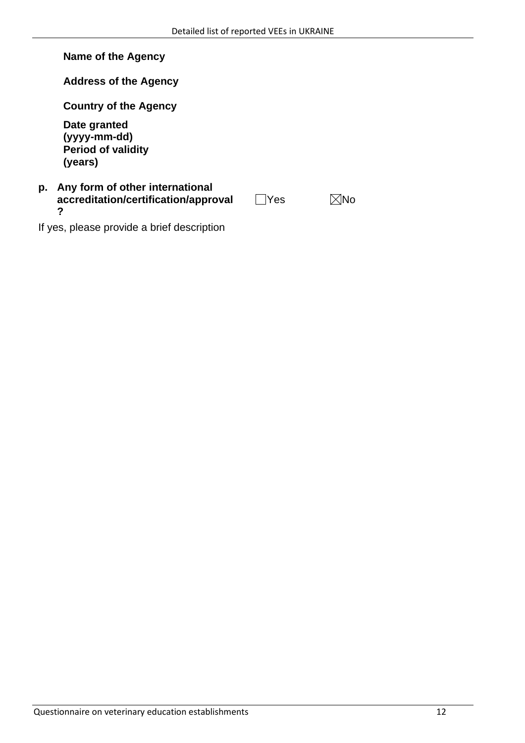**Name of the Agency**

**Address of the Agency**

**Country of the Agency**

**Date granted (yyyy-mm-dd) Period of validity (years)**

#### **p. Any form of other international accreditation/certification/approval ?**

 $\Box$ Yes  $\boxtimes$ No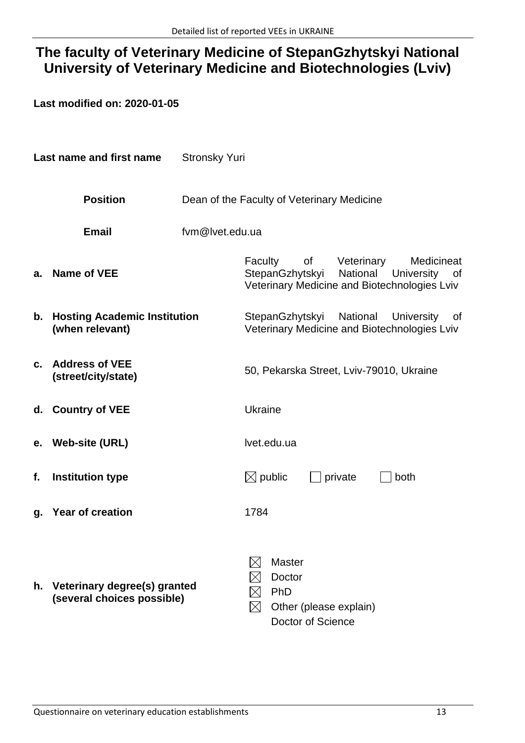#### **The faculty of Veterinary Medicine of StepanGzhytskyi National University of Veterinary Medicine and Biotechnologies (Lviv)**

| Last name and first name |                                                            | <b>Stronsky Yuri</b>                       |                                                                                                                                           |  |
|--------------------------|------------------------------------------------------------|--------------------------------------------|-------------------------------------------------------------------------------------------------------------------------------------------|--|
|                          | <b>Position</b>                                            | Dean of the Faculty of Veterinary Medicine |                                                                                                                                           |  |
|                          | <b>Email</b>                                               | fvm@lvet.edu.ua                            |                                                                                                                                           |  |
| а.                       | <b>Name of VEE</b>                                         |                                            | of Veterinary<br>Medicineat<br>Faculty<br>StepanGzhytskyi<br>National<br>University<br>of<br>Veterinary Medicine and Biotechnologies Lviv |  |
| b.                       | <b>Hosting Academic Institution</b><br>(when relevant)     |                                            | StepanGzhytskyi National<br>University<br>0f<br>Veterinary Medicine and Biotechnologies Lviv                                              |  |
| C.                       | <b>Address of VEE</b><br>(street/city/state)               |                                            | 50, Pekarska Street, Lviv-79010, Ukraine                                                                                                  |  |
|                          | d. Country of VEE                                          |                                            | <b>Ukraine</b>                                                                                                                            |  |
|                          | e. Web-site (URL)                                          |                                            | Ivet.edu.ua                                                                                                                               |  |
| f.                       | <b>Institution type</b>                                    |                                            | $\boxtimes$ public<br>private<br>both                                                                                                     |  |
| g.                       | <b>Year of creation</b>                                    |                                            | 1784                                                                                                                                      |  |
| h.                       | Veterinary degree(s) granted<br>(several choices possible) |                                            | <b>Master</b><br>Doctor<br>PhD<br>Other (please explain)<br>$\boxtimes$<br>Doctor of Science                                              |  |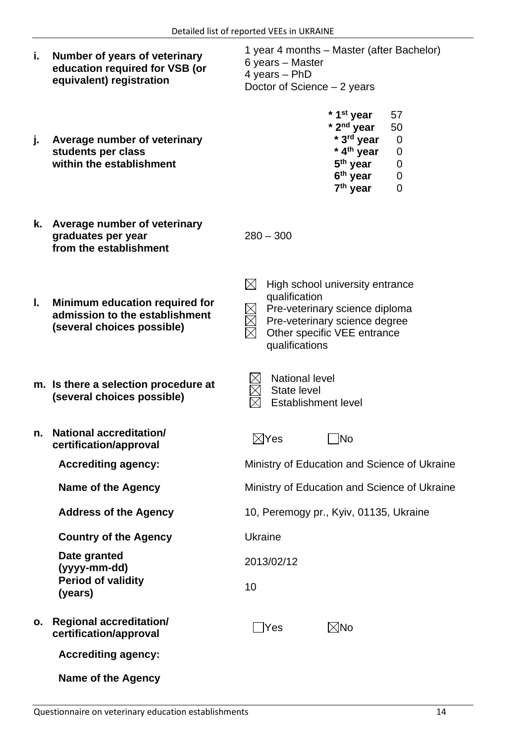| i. | Number of years of veterinary<br>education required for VSB (or<br>equivalent) registration    | 1 year 4 months - Master (after Bachelor)<br>6 years - Master<br>4 years - PhD<br>Doctor of Science - 2 years                                                                                                     |
|----|------------------------------------------------------------------------------------------------|-------------------------------------------------------------------------------------------------------------------------------------------------------------------------------------------------------------------|
| j. | Average number of veterinary<br>students per class<br>within the establishment                 | * 1 <sup>st</sup> year<br>57<br>$*$ 2 <sup>nd</sup> year<br>50<br>* 3rd year<br>$\mathbf 0$<br>* 4 <sup>th</sup> year<br>0<br>5 <sup>th</sup> year<br>0<br>6 <sup>th</sup> year<br>0<br>7 <sup>th</sup> year<br>0 |
| k. | Average number of veterinary<br>graduates per year<br>from the establishment                   | $280 - 300$                                                                                                                                                                                                       |
| L. | Minimum education required for<br>admission to the establishment<br>(several choices possible) | $\boxtimes$<br>High school university entrance<br>qualification<br>Pre-veterinary science diploma<br>Pre-veterinary science degree<br>Other specific VEE entrance<br>qualifications                               |
|    | m. Is there a selection procedure at<br>(several choices possible)                             | <b>National level</b><br>State level<br><b>Establishment level</b>                                                                                                                                                |
| n. | <b>National accreditation/</b><br>certification/approval                                       | $\boxtimes$ Yes<br>$\Box$ No                                                                                                                                                                                      |
|    | <b>Accrediting agency:</b>                                                                     | Ministry of Education and Science of Ukraine                                                                                                                                                                      |
|    | Name of the Agency                                                                             | Ministry of Education and Science of Ukraine                                                                                                                                                                      |
|    | <b>Address of the Agency</b>                                                                   | 10, Peremogy pr., Kyiv, 01135, Ukraine                                                                                                                                                                            |
|    | <b>Country of the Agency</b>                                                                   | <b>Ukraine</b>                                                                                                                                                                                                    |
|    | Date granted<br>(yyyy-mm-dd)                                                                   | 2013/02/12                                                                                                                                                                                                        |
|    | <b>Period of validity</b><br>(years)                                                           | 10                                                                                                                                                                                                                |
| о. | <b>Regional accreditation/</b><br>certification/approval                                       | $\boxtimes$ No<br>Yes                                                                                                                                                                                             |
|    | <b>Accrediting agency:</b>                                                                     |                                                                                                                                                                                                                   |
|    | <b>Name of the Agency</b>                                                                      |                                                                                                                                                                                                                   |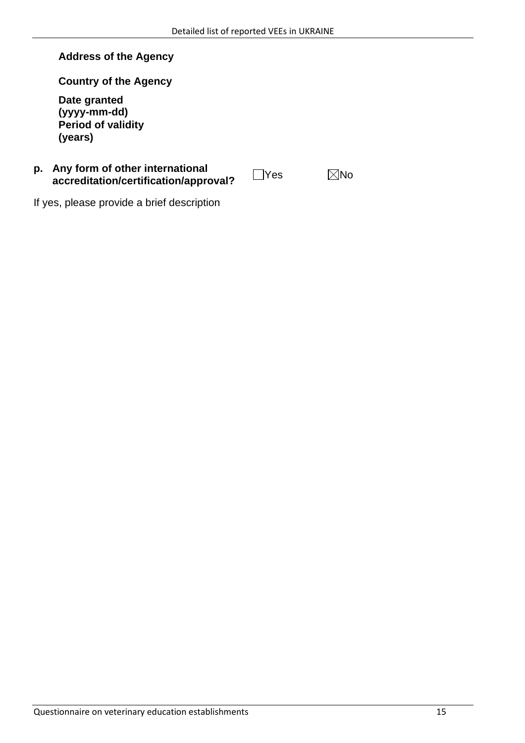**Country of the Agency**

**Date granted (yyyy-mm-dd) Period of validity (years)**

#### **p. Any form of other international accreditation/certification/approval?** DYes Mo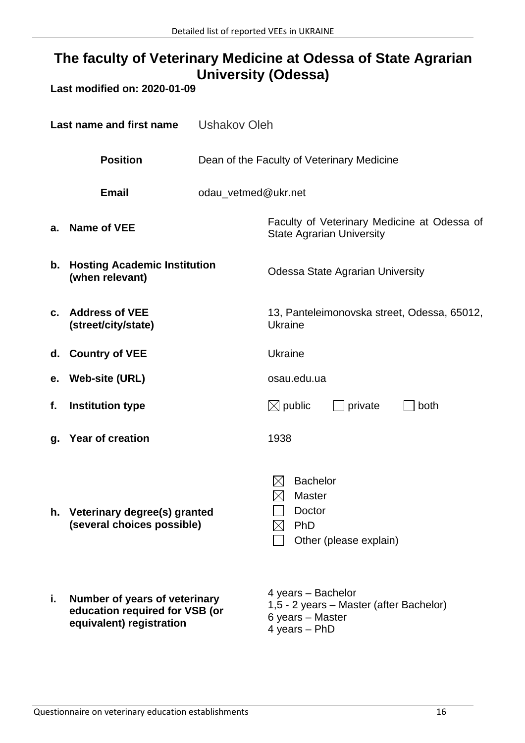### **The faculty of Veterinary Medicine at Odessa of State Agrarian University (Odessa)**

| Last name and first name |                                                                                             | <b>Ushakov Oleh</b> |                                                                                   |  |
|--------------------------|---------------------------------------------------------------------------------------------|---------------------|-----------------------------------------------------------------------------------|--|
|                          | <b>Position</b>                                                                             |                     | Dean of the Faculty of Veterinary Medicine                                        |  |
|                          | <b>Email</b>                                                                                | odau_vetmed@ukr.net |                                                                                   |  |
| a.                       | <b>Name of VEE</b>                                                                          |                     | Faculty of Veterinary Medicine at Odessa of<br><b>State Agrarian University</b>   |  |
|                          | b. Hosting Academic Institution<br>(when relevant)                                          |                     | <b>Odessa State Agrarian University</b>                                           |  |
| $c_{\cdot}$              | <b>Address of VEE</b><br>(street/city/state)                                                |                     | 13, Panteleimonovska street, Odessa, 65012,<br><b>Ukraine</b>                     |  |
|                          | d. Country of VEE                                                                           |                     | <b>Ukraine</b>                                                                    |  |
|                          | e. Web-site (URL)                                                                           |                     | osau.edu.ua                                                                       |  |
| f.                       | <b>Institution type</b>                                                                     |                     | $\boxtimes$ public<br>$\vert$ private<br>both                                     |  |
|                          | g. Year of creation                                                                         |                     | 1938                                                                              |  |
| h.                       | Veterinary degree(s) granted<br>(several choices possible)                                  |                     | <b>Bachelor</b><br>Master<br>Doctor<br>PhD<br>Other (please explain)              |  |
| i.                       | Number of years of veterinary<br>education required for VSB (or<br>equivalent) registration |                     | 4 years - Bachelor<br>1,5 - 2 years – Master (after Bachelor)<br>6 years – Master |  |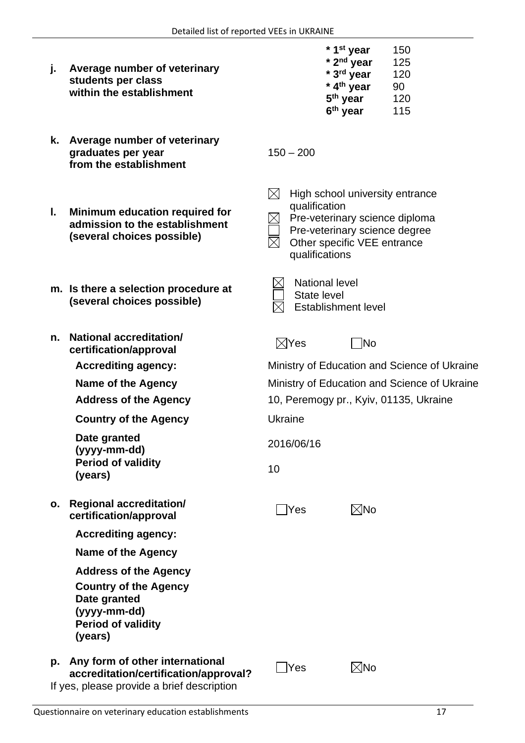| j. | Average number of veterinary<br>students per class<br>within the establishment                                         |                                              | * 1 <sup>st</sup> year<br>* 2 <sup>nd</sup> year<br>* 3rd year<br>* 4 <sup>th</sup> year<br>5 <sup>th</sup> year<br>6 <sup>th</sup> year | 150<br>125<br>120<br>90<br>120<br>115        |
|----|------------------------------------------------------------------------------------------------------------------------|----------------------------------------------|------------------------------------------------------------------------------------------------------------------------------------------|----------------------------------------------|
| k. | Average number of veterinary<br>graduates per year<br>from the establishment                                           | $150 - 200$                                  |                                                                                                                                          |                                              |
| L. | Minimum education required for<br>admission to the establishment<br>(several choices possible)                         | $\bowtie$<br>qualification<br>qualifications | High school university entrance<br>Pre-veterinary science diploma<br>Pre-veterinary science degree<br>Other specific VEE entrance        |                                              |
|    | m. Is there a selection procedure at<br>(several choices possible)                                                     | <b>State level</b>                           | <b>National level</b><br><b>Establishment level</b>                                                                                      |                                              |
| n. | <b>National accreditation/</b><br>certification/approval                                                               | $\boxtimes$ Yes                              | No                                                                                                                                       |                                              |
|    | <b>Accrediting agency:</b>                                                                                             |                                              |                                                                                                                                          | Ministry of Education and Science of Ukraine |
|    | <b>Name of the Agency</b>                                                                                              |                                              |                                                                                                                                          | Ministry of Education and Science of Ukraine |
|    | <b>Address of the Agency</b>                                                                                           |                                              |                                                                                                                                          | 10, Peremogy pr., Kyiv, 01135, Ukraine       |
|    | <b>Country of the Agency</b>                                                                                           | <b>Ukraine</b>                               |                                                                                                                                          |                                              |
|    | Date granted<br>(yyyy-mm-dd)                                                                                           | 2016/06/16                                   |                                                                                                                                          |                                              |
|    | <b>Period of validity</b><br>(years)                                                                                   | 10                                           |                                                                                                                                          |                                              |
| О. | <b>Regional accreditation/</b><br>certification/approval                                                               | Yes                                          | $\boxtimes$ No                                                                                                                           |                                              |
|    | <b>Accrediting agency:</b>                                                                                             |                                              |                                                                                                                                          |                                              |
|    | <b>Name of the Agency</b>                                                                                              |                                              |                                                                                                                                          |                                              |
|    | <b>Address of the Agency</b>                                                                                           |                                              |                                                                                                                                          |                                              |
|    | <b>Country of the Agency</b><br>Date granted<br>(yyyy-mm-dd)<br><b>Period of validity</b><br>(years)                   |                                              |                                                                                                                                          |                                              |
| р. | Any form of other international<br>accreditation/certification/approval?<br>If yes, please provide a brief description | Yes                                          | $\boxtimes$ No                                                                                                                           |                                              |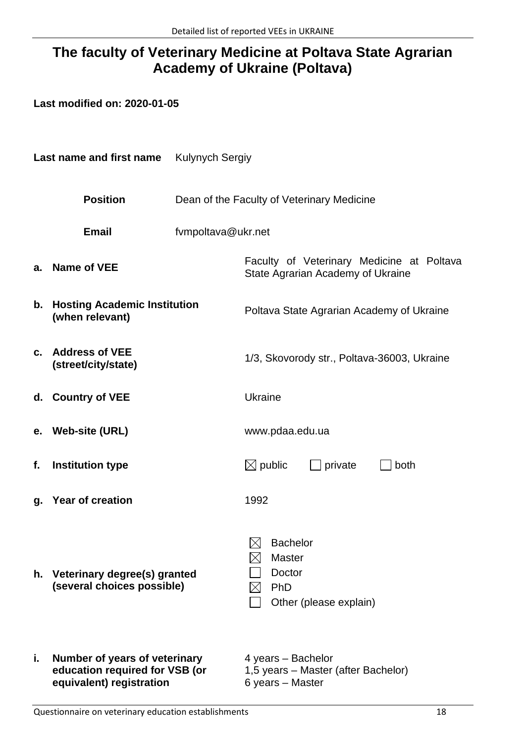## **The faculty of Veterinary Medicine at Poltava State Agrarian Academy of Ukraine (Poltava)**

| Last name and first name |                                                                                             | <b>Kulynych Sergiy</b> |                                                                                            |
|--------------------------|---------------------------------------------------------------------------------------------|------------------------|--------------------------------------------------------------------------------------------|
|                          | <b>Position</b>                                                                             |                        | Dean of the Faculty of Veterinary Medicine                                                 |
|                          | <b>Email</b>                                                                                | fvmpoltava@ukr.net     |                                                                                            |
| а.                       | Name of VEE                                                                                 |                        | Faculty of Veterinary Medicine at Poltava<br>State Agrarian Academy of Ukraine             |
| b.                       | <b>Hosting Academic Institution</b><br>(when relevant)                                      |                        | Poltava State Agrarian Academy of Ukraine                                                  |
| c.                       | <b>Address of VEE</b><br>(street/city/state)                                                |                        | 1/3, Skovorody str., Poltava-36003, Ukraine                                                |
| d.                       | <b>Country of VEE</b>                                                                       |                        | <b>Ukraine</b>                                                                             |
| е.                       | <b>Web-site (URL)</b>                                                                       |                        | www.pdaa.edu.ua                                                                            |
| f.                       | <b>Institution type</b>                                                                     |                        | $\boxtimes$ public<br>private<br>both                                                      |
| g.                       | <b>Year of creation</b>                                                                     |                        | 1992                                                                                       |
| h.                       | Veterinary degree(s) granted<br>(several choices possible)                                  |                        | $\boxtimes$<br><b>Bachelor</b><br><b>Master</b><br>Doctor<br>PhD<br>Other (please explain) |
| i.                       | Number of years of veterinary<br>education required for VSB (or<br>equivalent) registration |                        | 4 years - Bachelor<br>1,5 years - Master (after Bachelor)<br>6 years - Master              |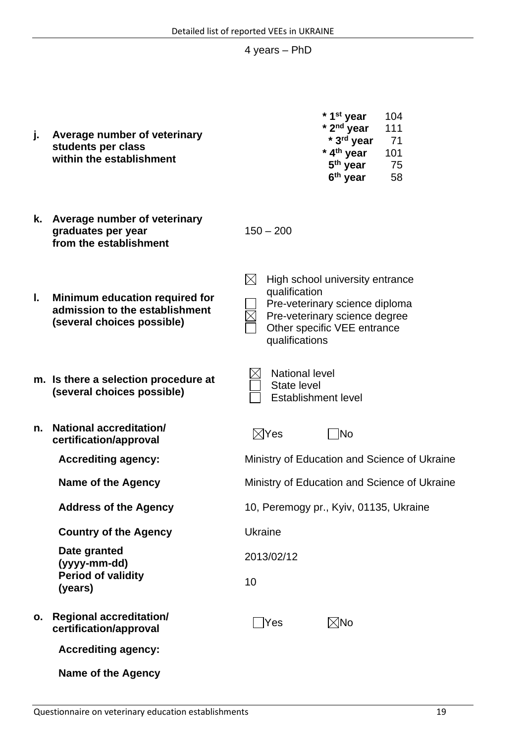4 years – PhD

**\* 1st year** 104 **\* 2nd year** 111 **\* 3rd year** 71

|    | students per class<br>within the establishment                                                 | * 4 <sup>th</sup> year<br>101<br>5 <sup>th</sup> year<br>75<br>6 <sup>th</sup> year<br>58                                                                                           |
|----|------------------------------------------------------------------------------------------------|-------------------------------------------------------------------------------------------------------------------------------------------------------------------------------------|
| k. | Average number of veterinary<br>graduates per year<br>from the establishment                   | $150 - 200$                                                                                                                                                                         |
| I. | Minimum education required for<br>admission to the establishment<br>(several choices possible) | $\boxtimes$<br>High school university entrance<br>qualification<br>Pre-veterinary science diploma<br>Pre-veterinary science degree<br>Other specific VEE entrance<br>qualifications |
|    | m. Is there a selection procedure at<br>(several choices possible)                             | <b>National level</b><br>State level<br><b>Establishment level</b>                                                                                                                  |
| n. | <b>National accreditation/</b><br>certification/approval                                       | $\boxtimes$ Yes<br> No                                                                                                                                                              |
|    | <b>Accrediting agency:</b>                                                                     | Ministry of Education and Science of Ukraine                                                                                                                                        |
|    | Name of the Agency                                                                             | Ministry of Education and Science of Ukraine                                                                                                                                        |
|    | <b>Address of the Agency</b>                                                                   | 10, Peremogy pr., Kyiv, 01135, Ukraine                                                                                                                                              |
|    | <b>Country of the Agency</b>                                                                   | <b>Ukraine</b>                                                                                                                                                                      |
|    | Date granted<br>(yyyy-mm-dd)                                                                   | 2013/02/12                                                                                                                                                                          |
|    | <b>Period of validity</b><br>(years)                                                           | 10                                                                                                                                                                                  |
| О. | <b>Regional accreditation/</b><br>certification/approval                                       | $\boxtimes$ No<br><b>Yes</b>                                                                                                                                                        |

**Accrediting agency:**

**Name of the Agency**

**j. Average number of veterinary**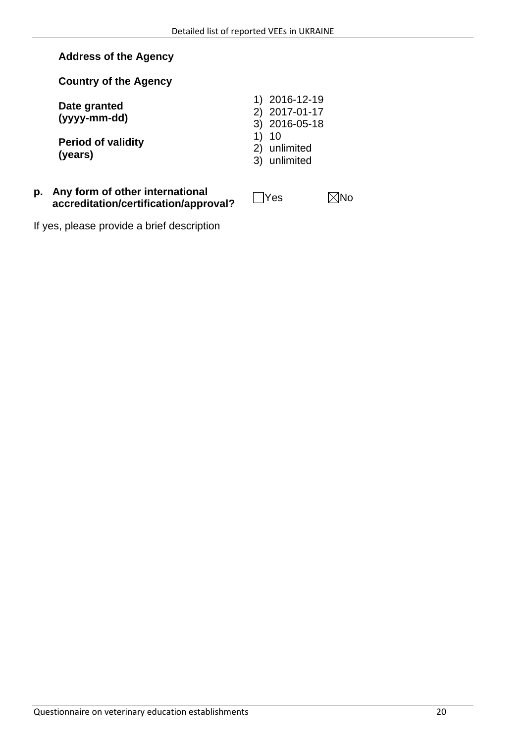| <b>Country of the Agency</b>         |                                                 |  |
|--------------------------------------|-------------------------------------------------|--|
| Date granted<br>(yyyy-mm-dd)         | 1) 2016-12-19<br>2) 2017-01-17<br>3) 2016-05-18 |  |
| <b>Period of validity</b><br>(years) | 1) 10<br>2) unlimited<br>3) unlimited           |  |

# **p. Any form of other international accreditation/certification/approval?** Yes No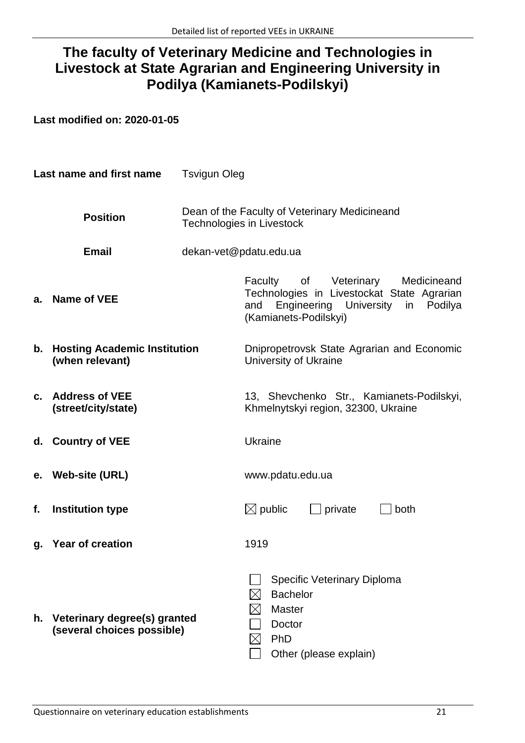#### **The faculty of Veterinary Medicine and Technologies in Livestock at State Agrarian and Engineering University in Podilya (Kamianets-Podilskyi)**

| Last name and first name |                                                            | <b>Tsvigun Oleg</b> |                                                                                                                                                               |
|--------------------------|------------------------------------------------------------|---------------------|---------------------------------------------------------------------------------------------------------------------------------------------------------------|
|                          | <b>Position</b>                                            |                     | Dean of the Faculty of Veterinary Medicineand<br>Technologies in Livestock                                                                                    |
|                          | <b>Email</b>                                               |                     | dekan-vet@pdatu.edu.ua                                                                                                                                        |
| a.                       | Name of VEE                                                |                     | Veterinary<br>Faculty of<br>Medicineand<br>Technologies in Livestockat State Agrarian<br>Engineering University<br>in Podilya<br>and<br>(Kamianets-Podilskyi) |
| b.                       | <b>Hosting Academic Institution</b><br>(when relevant)     |                     | Dnipropetrovsk State Agrarian and Economic<br>University of Ukraine                                                                                           |
|                          | c. Address of VEE<br>(street/city/state)                   |                     | 13, Shevchenko Str., Kamianets-Podilskyi,<br>Khmelnytskyi region, 32300, Ukraine                                                                              |
|                          | d. Country of VEE                                          |                     | <b>Ukraine</b>                                                                                                                                                |
|                          | e. Web-site (URL)                                          |                     | www.pdatu.edu.ua                                                                                                                                              |
| f.                       | <b>Institution type</b>                                    |                     | $\boxtimes$ public<br>private<br>both                                                                                                                         |
| g.                       | <b>Year of creation</b>                                    |                     | 1919                                                                                                                                                          |
| h.                       | Veterinary degree(s) granted<br>(several choices possible) |                     | Specific Veterinary Diploma<br><b>Bachelor</b><br><b>Master</b><br>Doctor<br>PhD<br>Other (please explain)                                                    |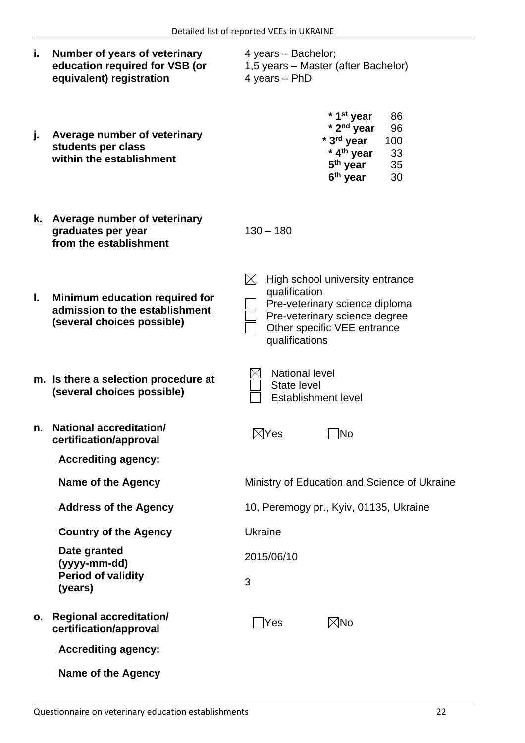| i. | Number of years of veterinary<br>education required for VSB (or<br>equivalent) registration    | 4 years - Bachelor;<br>1,5 years - Master (after Bachelor)<br>4 years - PhD                                                                                                         |
|----|------------------------------------------------------------------------------------------------|-------------------------------------------------------------------------------------------------------------------------------------------------------------------------------------|
| j. | Average number of veterinary<br>students per class<br>within the establishment                 | * 1 <sup>st</sup> year<br>86<br>* 2 <sup>nd</sup> year<br>96<br>* 3rd year<br>100<br>* 4 <sup>th</sup> year<br>33<br>5 <sup>th</sup> year<br>35<br>6 <sup>th</sup> year<br>30       |
| k. | Average number of veterinary<br>graduates per year<br>from the establishment                   | $130 - 180$                                                                                                                                                                         |
| I. | Minimum education required for<br>admission to the establishment<br>(several choices possible) | $\boxtimes$<br>High school university entrance<br>qualification<br>Pre-veterinary science diploma<br>Pre-veterinary science degree<br>Other specific VEE entrance<br>qualifications |
|    | m. Is there a selection procedure at<br>(several choices possible)                             | <b>National level</b><br><b>State level</b><br><b>Establishment level</b>                                                                                                           |
| n. | <b>National accreditation/</b><br>certification/approval                                       | $\boxtimes$ Yes<br>lNo                                                                                                                                                              |
|    | <b>Accrediting agency:</b>                                                                     |                                                                                                                                                                                     |
|    | <b>Name of the Agency</b>                                                                      | Ministry of Education and Science of Ukraine                                                                                                                                        |
|    | <b>Address of the Agency</b>                                                                   | 10, Peremogy pr., Kyiv, 01135, Ukraine                                                                                                                                              |
|    | <b>Country of the Agency</b>                                                                   | <b>Ukraine</b>                                                                                                                                                                      |
|    | Date granted<br>(yyyy-mm-dd)                                                                   | 2015/06/10                                                                                                                                                                          |
|    | <b>Period of validity</b><br>(years)                                                           | 3                                                                                                                                                                                   |
| о. | <b>Regional accreditation/</b><br>certification/approval                                       | $\boxtimes$ No<br> Yes                                                                                                                                                              |
|    | <b>Accrediting agency:</b>                                                                     |                                                                                                                                                                                     |
|    | <b>Name of the Agency</b>                                                                      |                                                                                                                                                                                     |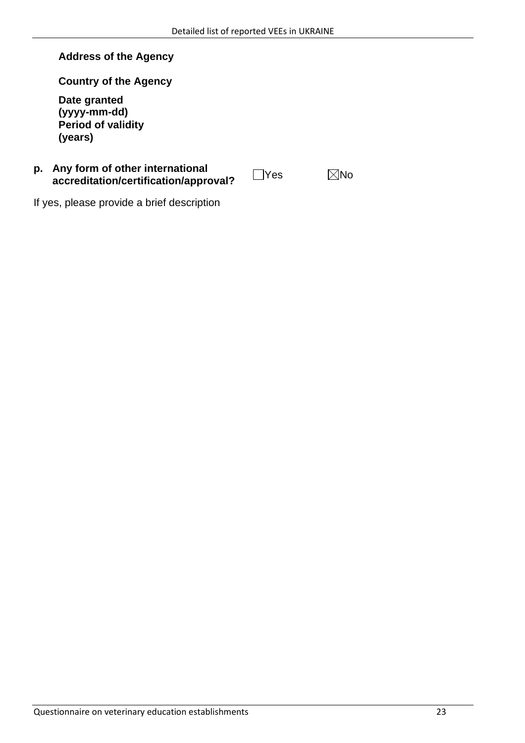**Country of the Agency**

**Date granted (yyyy-mm-dd) Period of validity (years)**

#### **p. Any form of other international accreditation/certification/approval?** DYes Mo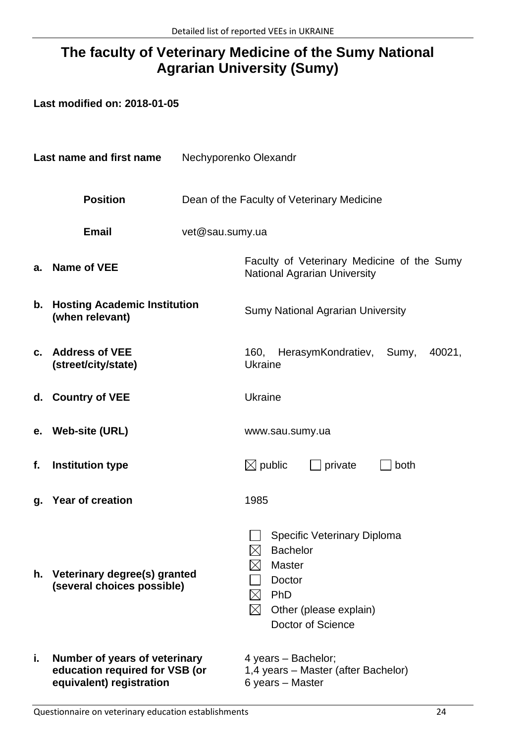## **The faculty of Veterinary Medicine of the Sumy National Agrarian University (Sumy)**

| Last name and first name |                                                                                             | Nechyporenko Olexandr |                                                                                                                                                |
|--------------------------|---------------------------------------------------------------------------------------------|-----------------------|------------------------------------------------------------------------------------------------------------------------------------------------|
|                          | <b>Position</b>                                                                             |                       | Dean of the Faculty of Veterinary Medicine                                                                                                     |
|                          | <b>Email</b>                                                                                | vet@sau.sumy.ua       |                                                                                                                                                |
| а.                       | <b>Name of VEE</b>                                                                          |                       | Faculty of Veterinary Medicine of the Sumy<br><b>National Agrarian University</b>                                                              |
| b.                       | <b>Hosting Academic Institution</b><br>(when relevant)                                      |                       | <b>Sumy National Agrarian University</b>                                                                                                       |
| $c_{1}$                  | <b>Address of VEE</b><br>(street/city/state)                                                |                       | HerasymKondratiev, Sumy,<br>40021,<br>160,<br><b>Ukraine</b>                                                                                   |
|                          | d. Country of VEE                                                                           |                       | <b>Ukraine</b>                                                                                                                                 |
|                          | e. Web-site (URL)                                                                           |                       | www.sau.sumy.ua                                                                                                                                |
| f.                       | <b>Institution type</b>                                                                     |                       | $\boxtimes$ public<br>private<br>both                                                                                                          |
| g.                       | <b>Year of creation</b>                                                                     |                       | 1985                                                                                                                                           |
|                          | h. Veterinary degree(s) granted<br>(several choices possible)                               |                       | Specific Veterinary Diploma<br><b>Bachelor</b><br><b>Master</b><br>Doctor<br>PhD<br>Other (please explain)<br>$\boxtimes$<br>Doctor of Science |
| i.                       | Number of years of veterinary<br>education required for VSB (or<br>equivalent) registration |                       | 4 years - Bachelor;<br>1,4 years - Master (after Bachelor)<br>6 years - Master                                                                 |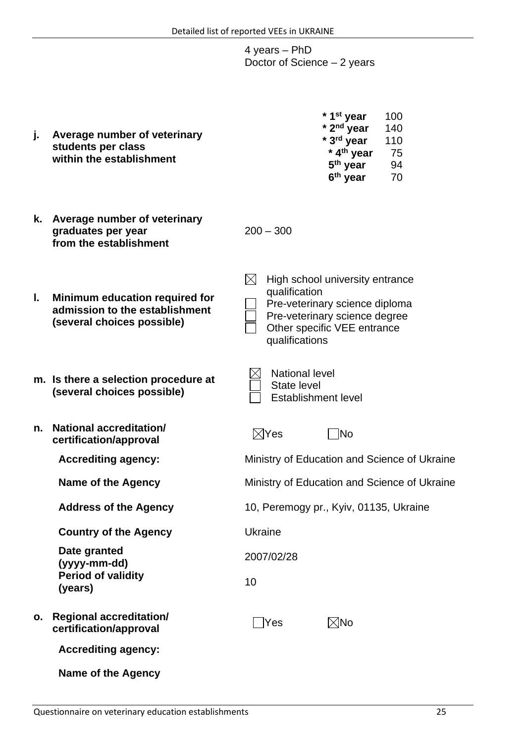4 years – PhD Doctor of Science – 2 years

|    |                                                                                | * 1 <sup>st</sup> year<br>* 2 <sup>nd</sup> year | 100<br>140 |
|----|--------------------------------------------------------------------------------|--------------------------------------------------|------------|
|    | Average number of veterinary<br>students per class<br>within the establishment | * 3rd year<br>* 4 <sup>th</sup> year             | 110<br>75  |
|    |                                                                                | 5 <sup>th</sup> year<br>6 <sup>th</sup> year     | 94<br>70   |
| k. | Average number of veterinary                                                   |                                                  |            |

**k. Average number of veterinary graduates per year from the establishment**

 $200 - 300$ 

- **l. Minimum education required for admission to the establishment (several choices possible)**
- **m. Is there a selection procedure at (several choices possible)**
- **n. National accreditation/ certification/approval** Monography **No. 2016** No.

**Country of the Agency Ukraine** 

**Date granted (yyyy-mm-dd)** 2007/02/28 **Period of validity (years)** <sup>10</sup>

**o. Regional accreditation/ certification/approval** Yes No

**Accrediting agency:**

**Name of the Agency**

Pre-veterinary science diploma Pre-veterinary science degree Other specific VEE entrance qualifications National level

qualification

 $\boxtimes$  High school university entrance

State level Establishment level

**Accrediting agency:** Ministry of Education and Science of Ukraine

**Name of the Agency** Ministry of Education and Science of Ukraine

Address of the Agency 10, Peremogy pr., Kyiv, 01135, Ukraine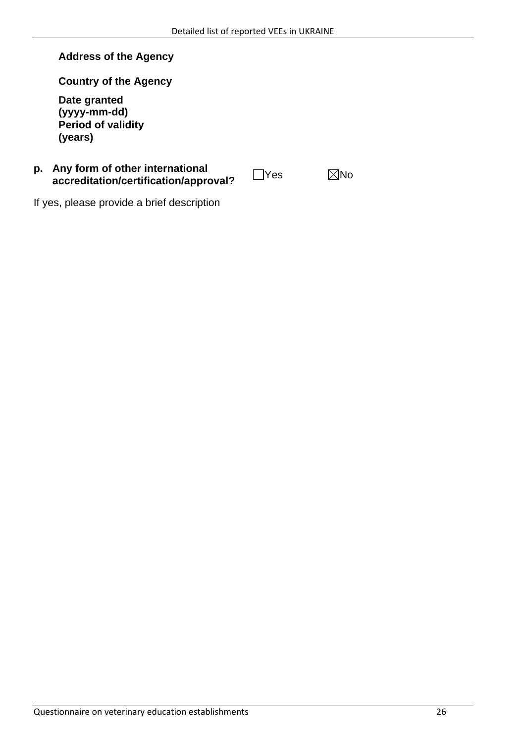**Country of the Agency**

**Date granted (yyyy-mm-dd) Period of validity (years)**

#### **p. Any form of other international accreditation/certification/approval?** DYes Mo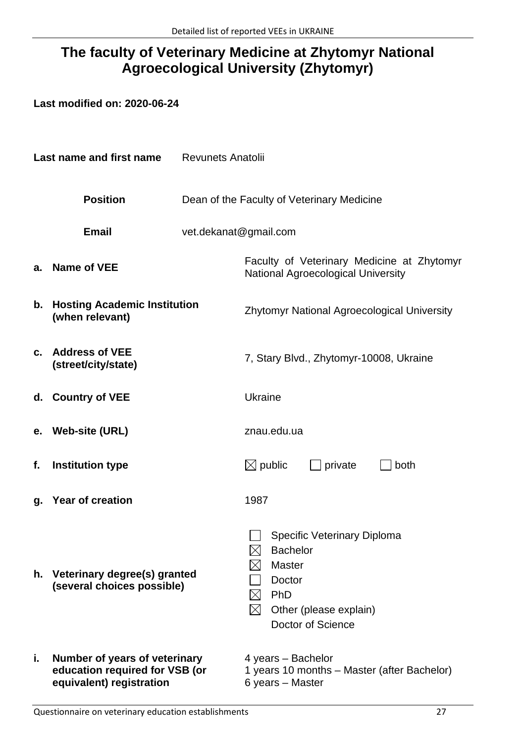## **The faculty of Veterinary Medicine at Zhytomyr National Agroecological University (Zhytomyr)**

| Last name and first name |                                                                                             | <b>Revunets Anatolii</b> |                                                                                                                                                |
|--------------------------|---------------------------------------------------------------------------------------------|--------------------------|------------------------------------------------------------------------------------------------------------------------------------------------|
|                          | <b>Position</b>                                                                             |                          | Dean of the Faculty of Veterinary Medicine                                                                                                     |
|                          | <b>Email</b>                                                                                | vet.dekanat@gmail.com    |                                                                                                                                                |
| а.                       | <b>Name of VEE</b>                                                                          |                          | Faculty of Veterinary Medicine at Zhytomyr<br><b>National Agroecological University</b>                                                        |
| b.                       | <b>Hosting Academic Institution</b><br>(when relevant)                                      |                          | <b>Zhytomyr National Agroecological University</b>                                                                                             |
| $\mathbf{c}$ .           | <b>Address of VEE</b><br>(street/city/state)                                                |                          | 7, Stary Blvd., Zhytomyr-10008, Ukraine                                                                                                        |
|                          | d. Country of VEE                                                                           |                          | <b>Ukraine</b>                                                                                                                                 |
|                          | e. Web-site (URL)                                                                           |                          | znau.edu.ua                                                                                                                                    |
| f.                       | <b>Institution type</b>                                                                     |                          | $\boxtimes$ public<br>private<br>both                                                                                                          |
| g.                       | <b>Year of creation</b>                                                                     |                          | 1987                                                                                                                                           |
|                          | h. Veterinary degree(s) granted<br>(several choices possible)                               |                          | Specific Veterinary Diploma<br><b>Bachelor</b><br><b>Master</b><br>Doctor<br>PhD<br>Other (please explain)<br>$\boxtimes$<br>Doctor of Science |
| i.                       | Number of years of veterinary<br>education required for VSB (or<br>equivalent) registration |                          | 4 years - Bachelor<br>1 years 10 months - Master (after Bachelor)<br>6 years - Master                                                          |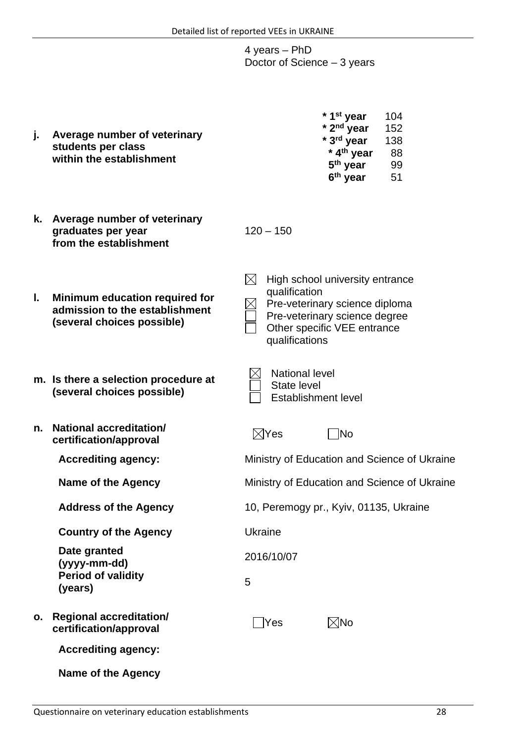4 years – PhD Doctor of Science – 3 years

|                                                                                | * 1 <sup>st</sup> year | 104 |
|--------------------------------------------------------------------------------|------------------------|-----|
| Average number of veterinary<br>students per class<br>within the establishment | * 2 <sup>nd</sup> year | 152 |
|                                                                                | * 3rd year             | 138 |
|                                                                                | * 4 <sup>th</sup> year | 88  |
|                                                                                | 5 <sup>th</sup> year   | 99  |
|                                                                                | 6 <sup>th</sup> year   | 51  |
|                                                                                |                        |     |

**k. Average number of veterinary graduates per year from the establishment**

 $120 - 150$ 

- **l. Minimum education required for admission to the establishment (several choices possible)**
- **m. Is there a selection procedure at (several choices possible)**
- **n. National accreditation/** certification/approval

**Country of the Agency Ukraine** 

**Date granted (yyyy-mm-dd)** 2016/10/07 **Period of validity (years)** <sup>5</sup>

**o. Regional accreditation/ certification/approval** Yes No

**Accrediting agency:**

**Name of the Agency**

| quallication<br>qualifications                                     | Pre-veterinary science diploma<br>Pre-veterinary science degree<br>Other specific VEE entrance |
|--------------------------------------------------------------------|------------------------------------------------------------------------------------------------|
| <b>National level</b><br>State level<br><b>Establishment level</b> |                                                                                                |
| es                                                                 |                                                                                                |

 $\boxtimes$  High school university entrance

qualification

**Accrediting agency:** Ministry of Education and Science of Ukraine

**Name of the Agency** Ministry of Education and Science of Ukraine

Address of the Agency 10, Peremogy pr., Kyiv, 01135, Ukraine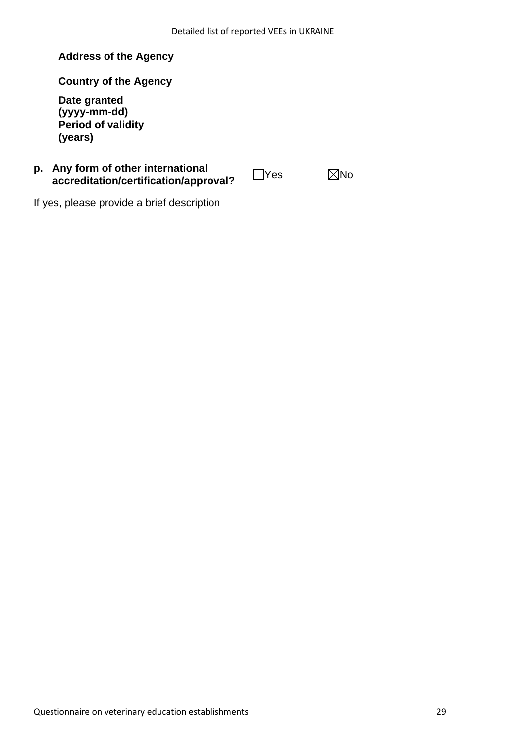**Country of the Agency**

**Date granted (yyyy-mm-dd) Period of validity (years)**

#### **p. Any form of other international accreditation/certification/approval?** DYes Mo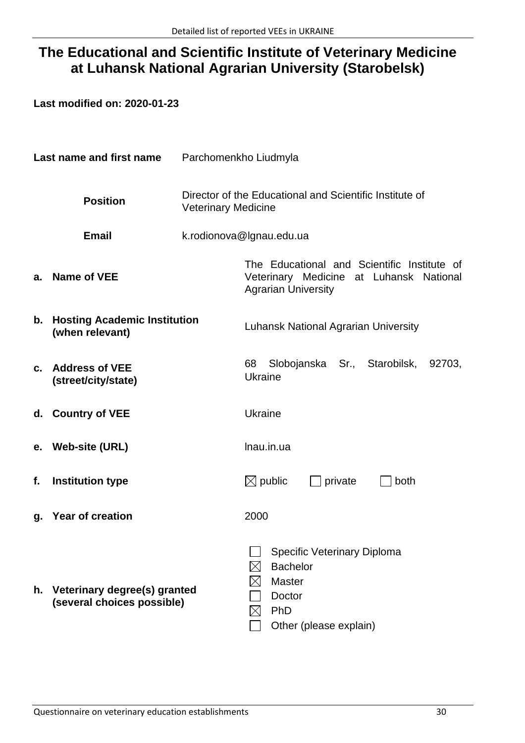## **The Educational and Scientific Institute of Veterinary Medicine at Luhansk National Agrarian University (Starobelsk)**

|                | Last name and first name                                   | Parchomenkho Liudmyla      |                                                                                                                        |
|----------------|------------------------------------------------------------|----------------------------|------------------------------------------------------------------------------------------------------------------------|
|                | <b>Position</b>                                            | <b>Veterinary Medicine</b> | Director of the Educational and Scientific Institute of                                                                |
|                | <b>Email</b>                                               |                            | k.rodionova@Ignau.edu.ua                                                                                               |
| а.             | <b>Name of VEE</b>                                         |                            | The Educational and Scientific Institute of<br>Veterinary Medicine at Luhansk National<br><b>Agrarian University</b>   |
| b.             | <b>Hosting Academic Institution</b><br>(when relevant)     |                            | Luhansk National Agrarian University                                                                                   |
| $\mathbf{c}$ . | <b>Address of VEE</b><br>(street/city/state)               |                            | Slobojanska Sr., Starobilsk,<br>68<br>92703,<br><b>Ukraine</b>                                                         |
|                | d. Country of VEE                                          |                            | <b>Ukraine</b>                                                                                                         |
| е.             | <b>Web-site (URL)</b>                                      |                            | Inau.in.ua                                                                                                             |
| f.             | <b>Institution type</b>                                    |                            | $\boxtimes$ public<br>private<br>both                                                                                  |
| g.             | <b>Year of creation</b>                                    |                            | 2000                                                                                                                   |
| h.             | Veterinary degree(s) granted<br>(several choices possible) |                            | Specific Veterinary Diploma<br><b>Bachelor</b><br><b>Master</b><br>Doctor<br>PhD<br>$\times$<br>Other (please explain) |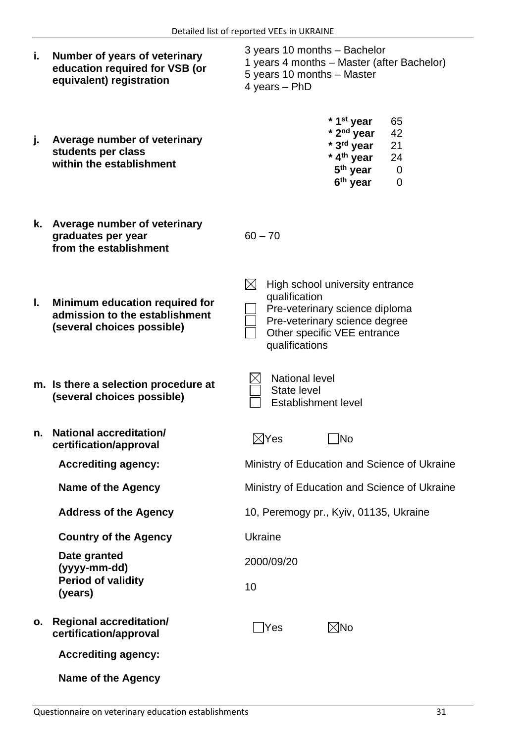| i. | Number of years of veterinary<br>education required for VSB (or<br>equivalent) registration    | 3 years 10 months - Bachelor<br>1 years 4 months - Master (after Bachelor)<br>5 years 10 months - Master<br>4 years - PhD                                                            |
|----|------------------------------------------------------------------------------------------------|--------------------------------------------------------------------------------------------------------------------------------------------------------------------------------------|
| j. | Average number of veterinary<br>students per class<br>within the establishment                 | * 1 <sup>st</sup> year<br>65<br>* 2 <sup>nd</sup> year<br>42<br>* 3rd year<br>21<br>* 4 <sup>th</sup> year<br>24<br>5 <sup>th</sup> year<br>$\mathbf 0$<br>6 <sup>th</sup> year<br>0 |
|    | k. Average number of veterinary<br>graduates per year<br>from the establishment                | $60 - 70$                                                                                                                                                                            |
| L. | Minimum education required for<br>admission to the establishment<br>(several choices possible) | $\boxtimes$<br>High school university entrance<br>qualification<br>Pre-veterinary science diploma<br>Pre-veterinary science degree<br>Other specific VEE entrance<br>qualifications  |
|    | m. Is there a selection procedure at<br>(several choices possible)                             | <b>National level</b><br><b>State level</b><br><b>Establishment level</b>                                                                                                            |
| n. | <b>National accreditation/</b><br>certification/approval                                       | $\boxtimes$ Yes<br>$\Box$ No                                                                                                                                                         |
|    | <b>Accrediting agency:</b>                                                                     | Ministry of Education and Science of Ukraine                                                                                                                                         |
|    | <b>Name of the Agency</b>                                                                      | Ministry of Education and Science of Ukraine                                                                                                                                         |
|    | <b>Address of the Agency</b>                                                                   | 10, Peremogy pr., Kyiv, 01135, Ukraine                                                                                                                                               |
|    | <b>Country of the Agency</b>                                                                   | <b>Ukraine</b>                                                                                                                                                                       |
|    | Date granted<br>(yyyy-mm-dd)                                                                   | 2000/09/20                                                                                                                                                                           |
|    | <b>Period of validity</b><br>(years)                                                           | 10                                                                                                                                                                                   |
| О. | <b>Regional accreditation/</b><br>certification/approval                                       | $\boxtimes$ No<br>Yes                                                                                                                                                                |
|    | <b>Accrediting agency:</b>                                                                     |                                                                                                                                                                                      |
|    | <b>Name of the Agency</b>                                                                      |                                                                                                                                                                                      |